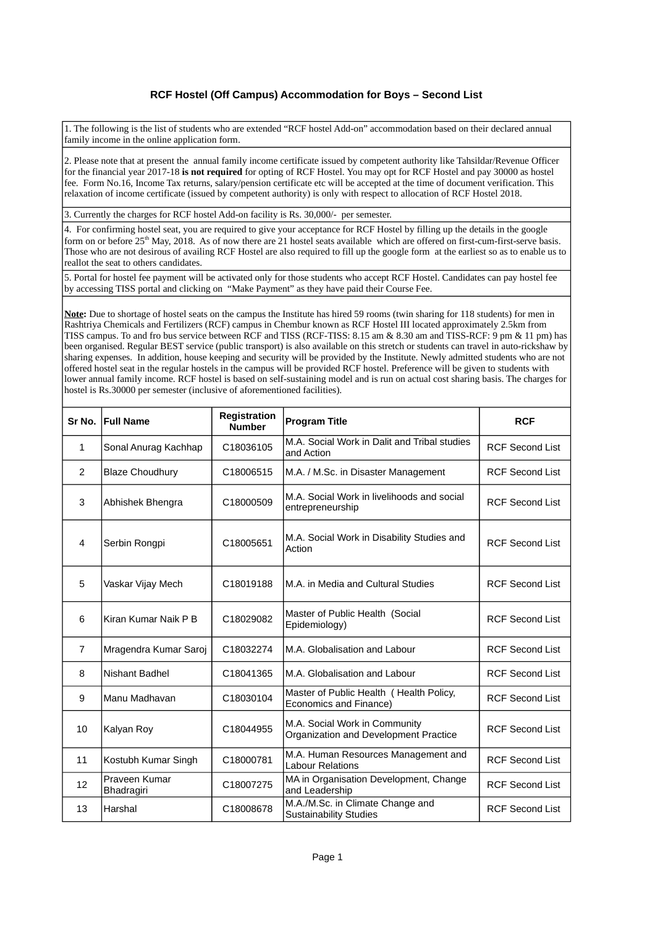## **RCF Hostel (Off Campus) Accommodation for Boys – Second List**

1. The following is the list of students who are extended "RCF hostel Add-on" accommodation based on their declared annual family income in the online application form.

2. Please note that at present the annual family income certificate issued by competent authority like Tahsildar/Revenue Officer for the financial year 2017-18 **is not required** for opting of RCF Hostel. You may opt for RCF Hostel and pay 30000 as hostel fee. Form No.16, Income Tax returns, salary/pension certificate etc will be accepted at the time of document verification. This relaxation of income certificate (issued by competent authority) is only with respect to allocation of RCF Hostel 2018.

3. Currently the charges for RCF hostel Add-on facility is Rs. 30,000/- per semester.

4. For confirming hostel seat, you are required to give your acceptance for RCF Hostel by filling up the details in the google form on or before 25<sup>th</sup> May, 2018. As of now there are 21 hostel seats available which are offered on first-cum-first-serve basis. Those who are not desirous of availing RCF Hostel are also required to fill up the google form at the earliest so as to enable us to reallot the seat to others candidates.

5. Portal for hostel fee payment will be activated only for those students who accept RCF Hostel. Candidates can pay hostel fee by accessing TISS portal and clicking on "Make Payment" as they have paid their Course Fee.

**Note:** Due to shortage of hostel seats on the campus the Institute has hired 59 rooms (twin sharing for 118 students) for men in Rashtriya Chemicals and Fertilizers (RCF) campus in Chembur known as RCF Hostel III located approximately 2.5km from TISS campus. To and fro bus service between RCF and TISS (RCF-TISS: 8.15 am & 8.30 am and TISS-RCF: 9 pm & 11 pm) has been organised. Regular BEST service (public transport) is also available on this stretch or students can travel in auto-rickshaw by sharing expenses. In addition, house keeping and security will be provided by the Institute. Newly admitted students who are not offered hostel seat in the regular hostels in the campus will be provided RCF hostel. Preference will be given to students with lower annual family income. RCF hostel is based on self-sustaining model and is run on actual cost sharing basis. The charges for hostel is Rs.30000 per semester (inclusive of aforementioned facilities).

| Sr No.         | <b>Full Name</b>            | Registration<br><b>Number</b> | <b>Program Title</b>                                                   | <b>RCF</b>             |
|----------------|-----------------------------|-------------------------------|------------------------------------------------------------------------|------------------------|
| 1              | Sonal Anurag Kachhap        | C18036105                     | M.A. Social Work in Dalit and Tribal studies<br>and Action             | <b>RCF Second List</b> |
| 2              | <b>Blaze Choudhury</b>      | C18006515                     | M.A. / M.Sc. in Disaster Management                                    | <b>RCF Second List</b> |
| 3              | Abhishek Bhengra            | C18000509                     | M.A. Social Work in livelihoods and social<br>entrepreneurship         | <b>RCF Second List</b> |
| 4              | Serbin Rongpi               | C18005651                     | M.A. Social Work in Disability Studies and<br>Action                   | <b>RCF Second List</b> |
| 5              | Vaskar Vijay Mech           | C18019188                     | M.A. in Media and Cultural Studies                                     | <b>RCF Second List</b> |
| 6              | Kiran Kumar Naik P B        | C18029082                     | Master of Public Health (Social<br>Epidemiology)                       | <b>RCF Second List</b> |
| $\overline{7}$ | Mragendra Kumar Saroj       | C18032274                     | M.A. Globalisation and Labour                                          | <b>RCF Second List</b> |
| 8              | <b>Nishant Badhel</b>       | C18041365                     | M.A. Globalisation and Labour                                          | <b>RCF Second List</b> |
| 9              | Manu Madhavan               | C18030104                     | Master of Public Health ( Health Policy,<br>Economics and Finance)     | <b>RCF Second List</b> |
| 10             | Kalyan Roy                  | C18044955                     | M.A. Social Work in Community<br>Organization and Development Practice | <b>RCF Second List</b> |
| 11             | Kostubh Kumar Singh         | C18000781                     | M.A. Human Resources Management and<br><b>Labour Relations</b>         | <b>RCF Second List</b> |
| 12             | Praveen Kumar<br>Bhadragiri | C18007275                     | MA in Organisation Development, Change<br>and Leadership               | <b>RCF Second List</b> |
| 13             | Harshal                     | C18008678                     | M.A./M.Sc. in Climate Change and<br><b>Sustainability Studies</b>      | <b>RCF Second List</b> |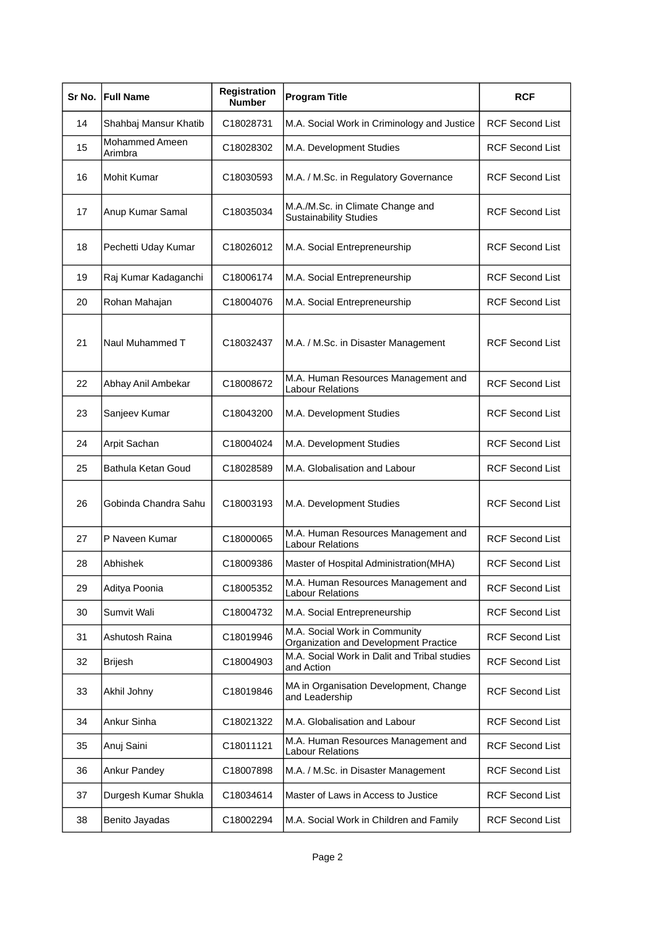| Sr No. | <b>Full Name</b>          | Registration<br><b>Number</b> | <b>Program Title</b>                                                   | <b>RCF</b>             |
|--------|---------------------------|-------------------------------|------------------------------------------------------------------------|------------------------|
| 14     | Shahbaj Mansur Khatib     | C18028731                     | M.A. Social Work in Criminology and Justice                            | <b>RCF Second List</b> |
| 15     | Mohammed Ameen<br>Arimbra | C18028302                     | M.A. Development Studies                                               | <b>RCF Second List</b> |
| 16     | Mohit Kumar               | C18030593                     | M.A. / M.Sc. in Regulatory Governance                                  | <b>RCF Second List</b> |
| 17     | Anup Kumar Samal          | C18035034                     | M.A./M.Sc. in Climate Change and<br><b>Sustainability Studies</b>      | <b>RCF Second List</b> |
| 18     | Pechetti Uday Kumar       | C18026012                     | M.A. Social Entrepreneurship                                           | <b>RCF Second List</b> |
| 19     | Raj Kumar Kadaganchi      | C18006174                     | M.A. Social Entrepreneurship                                           | <b>RCF Second List</b> |
| 20     | Rohan Mahajan             | C18004076                     | M.A. Social Entrepreneurship                                           | <b>RCF Second List</b> |
| 21     | Naul Muhammed T           | C18032437                     | M.A. / M.Sc. in Disaster Management                                    | <b>RCF Second List</b> |
| 22     | Abhay Anil Ambekar        | C18008672                     | M.A. Human Resources Management and<br><b>Labour Relations</b>         | <b>RCF Second List</b> |
| 23     | Sanjeev Kumar             | C18043200                     | M.A. Development Studies                                               | <b>RCF Second List</b> |
| 24     | Arpit Sachan              | C18004024                     | M.A. Development Studies                                               | <b>RCF Second List</b> |
| 25     | Bathula Ketan Goud        | C18028589                     | M.A. Globalisation and Labour                                          | <b>RCF Second List</b> |
| 26     | Gobinda Chandra Sahu      | C18003193                     | M.A. Development Studies                                               | <b>RCF Second List</b> |
| 27     | P Naveen Kumar            | C18000065                     | M.A. Human Resources Management and<br><b>Labour Relations</b>         | <b>RCF Second List</b> |
| 28     | Abhishek                  | C18009386                     | Master of Hospital Administration(MHA)                                 | <b>RCF Second List</b> |
| 29     | Aditya Poonia             | C18005352                     | M.A. Human Resources Management and<br><b>Labour Relations</b>         | <b>RCF Second List</b> |
| 30     | Sumvit Wali               | C18004732                     | M.A. Social Entrepreneurship                                           | <b>RCF Second List</b> |
| 31     | Ashutosh Raina            | C18019946                     | M.A. Social Work in Community<br>Organization and Development Practice | <b>RCF Second List</b> |
| 32     | <b>Brijesh</b>            | C18004903                     | M.A. Social Work in Dalit and Tribal studies<br>and Action             | <b>RCF Second List</b> |
| 33     | Akhil Johny               | C18019846                     | MA in Organisation Development, Change<br>and Leadership               | <b>RCF Second List</b> |
| 34     | Ankur Sinha               | C18021322                     | M.A. Globalisation and Labour                                          | <b>RCF Second List</b> |
| 35     | Anuj Saini                | C18011121                     | M.A. Human Resources Management and<br><b>Labour Relations</b>         | <b>RCF Second List</b> |
| 36     | Ankur Pandey              | C18007898                     | M.A. / M.Sc. in Disaster Management                                    | <b>RCF Second List</b> |
| 37     | Durgesh Kumar Shukla      | C18034614                     | Master of Laws in Access to Justice                                    | <b>RCF Second List</b> |
| 38     | Benito Jayadas            | C18002294                     | M.A. Social Work in Children and Family                                | <b>RCF Second List</b> |